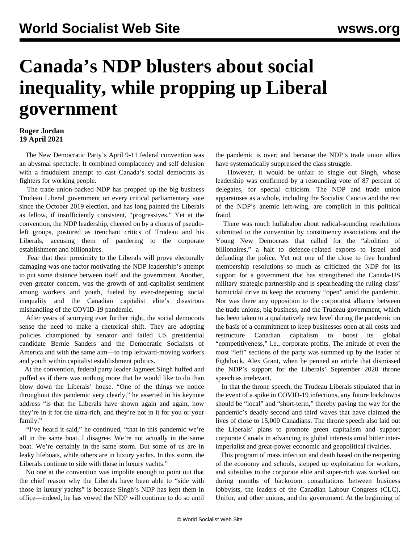## **Canada's NDP blusters about social inequality, while propping up Liberal government**

## **Roger Jordan 19 April 2021**

 The New Democratic Party's April 9-11 federal convention was an abysmal spectacle. It combined complacency and self delusion with a fraudulent attempt to cast Canada's social democrats as fighters for working people.

 The trade union-backed NDP has propped up the big business Trudeau Liberal government on every critical parliamentary vote since the October 2019 election, and has long painted the Liberals as fellow, if insufficiently consistent, "progressives." Yet at the convention, the NDP leadership, cheered on by a chorus of pseudoleft groups, postured as trenchant critics of Trudeau and his Liberals, accusing them of pandering to the corporate establishment and billionaires.

 Fear that their proximity to the Liberals will prove electorally damaging was one factor motivating the NDP leadership's attempt to put some distance between itself and the government. Another, even greater concern, was the growth of anti-capitalist sentiment among workers and youth, fueled by ever-deepening social inequality and the Canadian capitalist elite's disastrous mishandling of the COVID-19 pandemic.

 After years of scurrying ever further right, the social democrats sense the need to make a rhetorical shift. They are adopting policies championed by senator and failed US presidential candidate Bernie Sanders and the Democratic Socialists of America and with the same aim—to trap leftward-moving workers and youth within capitalist establishment politics.

 At the convention, federal party leader Jagmeet Singh huffed and puffed as if there was nothing more that he would like to do than blow down the Liberals' house. "One of the things we notice throughout this pandemic very clearly," he asserted in his keynote address "is that the Liberals have shown again and again, how they're in it for the ultra-rich, and they're not in it for you or your family."

 "I've heard it said," he continued, "that in this pandemic we're all in the same boat. I disagree. We're not actually in the same boat. We're certainly in the same storm. But some of us are in leaky lifeboats, while others are in luxury yachts. In this storm, the Liberals continue to side with those in luxury yachts."

 No one at the convention was impolite enough to point out that the chief reason why the Liberals have been able to "side with those in luxury yachts" is because Singh's NDP has kept them in office—indeed, he has vowed the NDP will continue to do so until

the pandemic is over; and because the NDP's trade union allies have systematically suppressed the class struggle.

 However, it would be unfair to single out Singh, whose leadership was confirmed by a resounding vote of 87 percent of delegates, for special criticism. The NDP and trade union apparatuses as a whole, including the Socialist Caucus and the rest of the NDP's anemic left-wing, are complicit in this political fraud.

 There was much hullabaloo about radical-sounding resolutions submitted to the convention by constituency associations and the Young New Democrats that called for the "abolition of billionaires," a halt to defence-related exports to Israel and defunding the police. Yet not one of the close to five hundred membership resolutions so much as criticized the NDP for its support for a government that has strengthened the Canada-US military strategic partnership and is spearheading the ruling class' homicidal drive to keep the economy "open" amid the pandemic. Nor was there any opposition to the corporatist alliance between the trade unions, big business, and the Trudeau government, which has been taken to a qualitatively new level during the pandemic on the basis of a commitment to keep businesses open at all costs and restructure Canadian capitalism to boost its global "competitiveness," i.e., corporate profits. The attitude of even the most "left" sections of the party was summed up by the leader of Fightback, Alex Grant, when he penned an article that dismissed the NDP's support for the Liberals' September 2020 throne speech as irrelevant.

 In that the throne speech, the Trudeau Liberals stipulated that in the event of a spike in COVID-19 infections, any future lockdowns should be "local" and "short-term," thereby paving the way for the pandemic's deadly second and third waves that have claimed the lives of close to 15,000 Canadians. The throne speech also laid out the Liberals' plans to promote green capitalism and support corporate Canada in advancing its global interests amid bitter interimperialist and great-power economic and geopolitical rivalries.

 This program of mass infection and death based on the reopening of the economy and schools, stepped up exploitation for workers, and subsidies to the corporate elite and super-rich was worked out during months of backroom consultations between business lobbyists, the leaders of the Canadian Labour Congress (CLC), Unifor, and other unions, and the government. At the beginning of